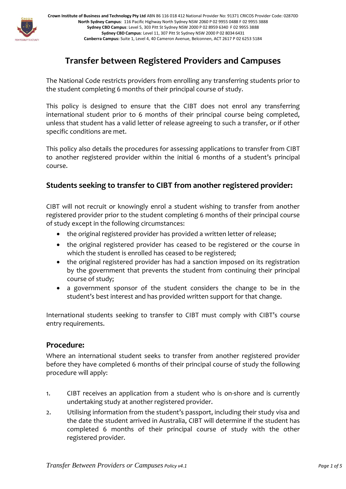

**Crown Institute of Business and Technology Pty Ltd** ABN 86 116 018 412 National Provider No: 91371 CRICOS Provider Code: 02870D **North Sydney Campus**: 116 Pacific Highway North Sydney NSW 2060 P 02 9955 0488 F 02 9955 3888 **Sydney CBD Campus**: Level 5, 303 Pitt St Sydney NSW 2000 P 02 8959 6340 F 02 9955 3888 **Sydney CBD Campus**: Level 11, 307 Pitt St Sydney NSW 2000 P 02 8034 6431 **Canberra Campus:** Suite 1, Level 4, 40 Cameron Avenue, Belconnen, ACT 2617 P 02 6253 5184

# **Transfer between Registered Providers and Campuses**

The National Code restricts providers from enrolling any transferring students prior to the student completing 6 months of their principal course of study.

This policy is designed to ensure that the CIBT does not enrol any transferring international student prior to 6 months of their principal course being completed, unless that student has a valid letter of release agreeing to such a transfer, or if other specific conditions are met.

This policy also details the procedures for assessing applications to transfer from CIBT to another registered provider within the initial 6 months of a student's principal course.

## **Students seeking to transfer to CIBT from another registered provider:**

CIBT will not recruit or knowingly enrol a student wishing to transfer from another registered provider prior to the student completing 6 months of their principal course of study except in the following circumstances:

- the original registered provider has provided a written letter of release;
- the original registered provider has ceased to be registered or the course in which the student is enrolled has ceased to be registered;
- the original registered provider has had a sanction imposed on its registration by the government that prevents the student from continuing their principal course of study;
- a government sponsor of the student considers the change to be in the student's best interest and has provided written support for that change.

International students seeking to transfer to CIBT must comply with CIBT's course entry requirements.

### **Procedure:**

Where an international student seeks to transfer from another registered provider before they have completed 6 months of their principal course of study the following procedure will apply:

- 1. CIBT receives an application from a student who is on-shore and is currently undertaking study at another registered provider.
- 2. Utilising information from the student's passport, including their study visa and the date the student arrived in Australia, CIBT will determine if the student has completed 6 months of their principal course of study with the other registered provider.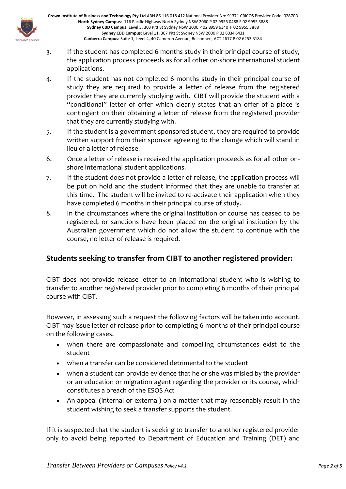

**Crown Institute of Business and Technology Pty Ltd** ABN 86 116 018 412 National Provider No: 91371 CRICOS Provider Code: 02870D **North Sydney Campus**: 116 Pacific Highway North Sydney NSW 2060 P 02 9955 0488 F 02 9955 3888 **Sydney CBD Campus**: Level 5, 303 Pitt St Sydney NSW 2000 P 02 8959 6340 F 02 9955 3888 **Sydney CBD Campus**: Level 11, 307 Pitt St Sydney NSW 2000 P 02 8034 6431 **Canberra Campus:** Suite 1, Level 4, 40 Cameron Avenue, Belconnen, ACT 2617 P 02 6253 5184

- 3. If the student has completed 6 months study in their principal course of study, the application process proceeds as for all other on-shore international student applications.
- 4. If the student has not completed 6 months study in their principal course of study they are required to provide a letter of release from the registered provider they are currently studying with. CIBT will provide the student with a "conditional" letter of offer which clearly states that an offer of a place is contingent on their obtaining a letter of release from the registered provider that they are currently studying with.
- 5. If the student is a government sponsored student, they are required to provide written support from their sponsor agreeing to the change which will stand in lieu of a letter of release.
- 6. Once a letter of release is received the application proceeds as for all other onshore international student applications.
- 7. If the student does not provide a letter of release, the application process will be put on hold and the student informed that they are unable to transfer at this time. The student will be invited to re-activate their application when they have completed 6 months in their principal course of study.
- 8. In the circumstances where the original institution or course has ceased to be registered, or sanctions have been placed on the original institution by the Australian government which do not allow the student to continue with the course, no letter of release is required.

# **Students seeking to transfer from CIBT to another registered provider:**

CIBT does not provide release letter to an international student who is wishing to transfer to another registered provider prior to completing 6 months of their principal course with CIBT.

However, in assessing such a request the following factors will be taken into account. CIBT may issue letter of release prior to completing 6 months of their principal course on the following cases.

- when there are compassionate and compelling circumstances exist to the student
- when a transfer can be considered detrimental to the student
- when a student can provide evidence that he or she was misled by the provider or an education or migration agent regarding the provider or its course, which constitutes a breach of the ESOS Act
- An appeal (internal or external) on a matter that may reasonably result in the student wishing to seek a transfer supports the student.

If it is suspected that the student is seeking to transfer to another registered provider only to avoid being reported to Department of Education and Training (DET) and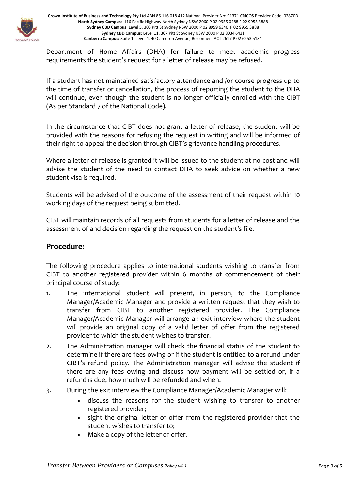

**Crown Institute of Business and Technology Pty Ltd** ABN 86 116 018 412 National Provider No: 91371 CRICOS Provider Code: 02870D **North Sydney Campus**: 116 Pacific Highway North Sydney NSW 2060 P 02 9955 0488 F 02 9955 3888 **Sydney CBD Campus**: Level 5, 303 Pitt St Sydney NSW 2000 P 02 8959 6340 F 02 9955 3888 **Sydney CBD Campus**: Level 11, 307 Pitt St Sydney NSW 2000 P 02 8034 6431 **Canberra Campus:** Suite 1, Level 4, 40 Cameron Avenue, Belconnen, ACT 2617 P 02 6253 5184

Department of Home Affairs (DHA) for failure to meet academic progress requirements the student's request for a letter of release may be refused.

If a student has not maintained satisfactory attendance and /or course progress up to the time of transfer or cancellation, the process of reporting the student to the DHA will continue, even though the student is no longer officially enrolled with the CIBT (As per Standard 7 of the National Code).

In the circumstance that CIBT does not grant a letter of release, the student will be provided with the reasons for refusing the request in writing and will be informed of their right to appeal the decision through CIBT's grievance handling procedures.

Where a letter of release is granted it will be issued to the student at no cost and will advise the student of the need to contact DHA to seek advice on whether a new student visa is required.

Students will be advised of the outcome of the assessment of their request within 10 working days of the request being submitted.

CIBT will maintain records of all requests from students for a letter of release and the assessment of and decision regarding the request on the student's file.

### **Procedure:**

The following procedure applies to international students wishing to transfer from CIBT to another registered provider within 6 months of commencement of their principal course of study:

- 1. The international student will present, in person, to the Compliance Manager/Academic Manager and provide a written request that they wish to transfer from CIBT to another registered provider. The Compliance Manager/Academic Manager will arrange an exit interview where the student will provide an original copy of a valid letter of offer from the registered provider to which the student wishes to transfer.
- 2. The Administration manager will check the financial status of the student to determine if there are fees owing or if the student is entitled to a refund under CIBT's refund policy. The Administration manager will advise the student if there are any fees owing and discuss how payment will be settled or, if a refund is due, how much will be refunded and when.
- 3. During the exit interview the Compliance Manager/Academic Manager will:
	- discuss the reasons for the student wishing to transfer to another registered provider;
	- sight the original letter of offer from the registered provider that the student wishes to transfer to;
	- Make a copy of the letter of offer.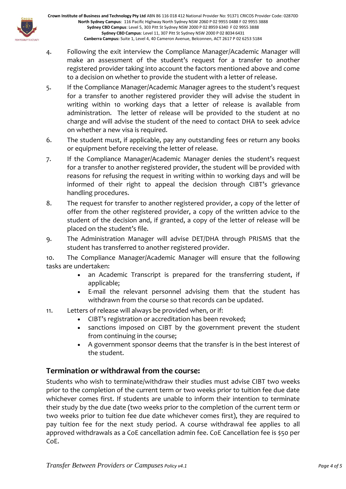

- 4. Following the exit interview the Compliance Manager/Academic Manager will make an assessment of the student's request for a transfer to another registered provider taking into account the factors mentioned above and come to a decision on whether to provide the student with a letter of release.
- 5. If the Compliance Manager/Academic Manager agrees to the student's request for a transfer to another registered provider they will advise the student in writing within 10 working days that a letter of release is available from administration. The letter of release will be provided to the student at no charge and will advise the student of the need to contact DHA to seek advice on whether a new visa is required.
- 6. The student must, if applicable, pay any outstanding fees or return any books or equipment before receiving the letter of release.
- 7. If the Compliance Manager/Academic Manager denies the student's request for a transfer to another registered provider, the student will be provided with reasons for refusing the request in writing within 10 working days and will be informed of their right to appeal the decision through CIBT's grievance handling procedures.
- 8. The request for transfer to another registered provider, a copy of the letter of offer from the other registered provider, a copy of the written advice to the student of the decision and, if granted, a copy of the letter of release will be placed on the student's file.
- 9. The Administration Manager will advise DET/DHA through PRISMS that the student has transferred to another registered provider.

10. The Compliance Manager/Academic Manager will ensure that the following tasks are undertaken:

- an Academic Transcript is prepared for the transferring student, if applicable;
- E-mail the relevant personnel advising them that the student has withdrawn from the course so that records can be updated.
- 11. Letters of release will always be provided when, or if:
	- CIBT's registration or accreditation has been revoked;
	- sanctions imposed on CIBT by the government prevent the student from continuing in the course;
	- A government sponsor deems that the transfer is in the best interest of the student.

# **Termination or withdrawal from the course:**

Students who wish to terminate/withdraw their studies must advise CIBT two weeks prior to the completion of the current term or two weeks prior to tuition fee due date whichever comes first. If students are unable to inform their intention to terminate their study by the due date (two weeks prior to the completion of the current term or two weeks prior to tuition fee due date whichever comes first), they are required to pay tuition fee for the next study period. A course withdrawal fee applies to all approved withdrawals as a CoE cancellation admin fee. CoE Cancellation fee is \$50 per CoE.